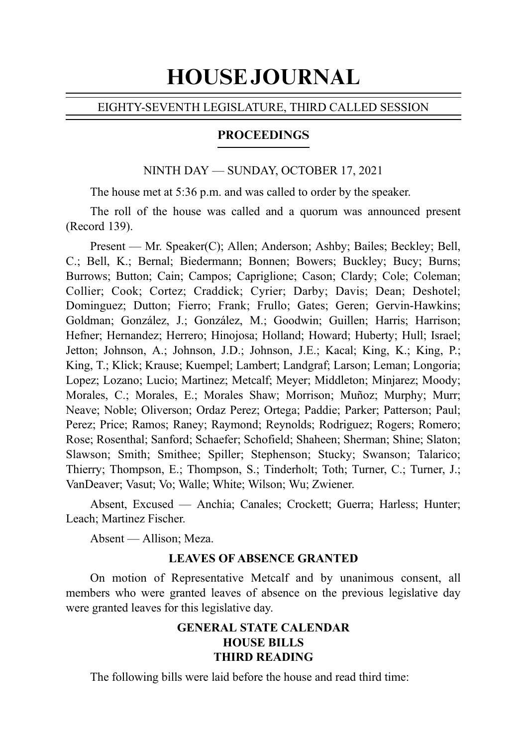# HOUSE JOURNAL

# EIGHTY-SEVENTH LEGISLATURE, THIRD CALLED SESSION

#### PROCEEDINGS

#### NINTH DAY — SUNDAY, OCTOBER 17, 2021

The house met at 5:36 p.m. and was called to order by the speaker.

The roll of the house was called and a quorum was announced present (Record 139).

Present — Mr. Speaker(C); Allen; Anderson; Ashby; Bailes; Beckley; Bell, C.; Bell, K.; Bernal; Biedermann; Bonnen; Bowers; Buckley; Bucy; Burns; Burrows; Button; Cain; Campos; Capriglione; Cason; Clardy; Cole; Coleman; Collier; Cook; Cortez; Craddick; Cyrier; Darby; Davis; Dean; Deshotel; Dominguez; Dutton; Fierro; Frank; Frullo; Gates; Geren; Gervin-Hawkins; Goldman; González, J.; González, M.; Goodwin; Guillen; Harris; Harrison; Hefner; Hernandez; Herrero; Hinojosa; Holland; Howard; Huberty; Hull; Israel; Jetton; Johnson, A.; Johnson, J.D.; Johnson, J.E.; Kacal; King, K.; King, P.; King, T.; Klick; Krause; Kuempel; Lambert; Landgraf; Larson; Leman; Longoria; Lopez; Lozano; Lucio; Martinez; Metcalf; Meyer; Middleton; Minjarez; Moody; Morales, C.; Morales, E.; Morales Shaw; Morrison; Muñoz; Murphy; Murr; Neave; Noble; Oliverson; Ordaz Perez; Ortega; Paddie; Parker; Patterson; Paul; Perez; Price; Ramos; Raney; Raymond; Reynolds; Rodriguez; Rogers; Romero; Rose; Rosenthal; Sanford; Schaefer; Schofield; Shaheen; Sherman; Shine; Slaton; Slawson; Smith; Smithee; Spiller; Stephenson; Stucky; Swanson; Talarico; Thierry; Thompson, E.; Thompson, S.; Tinderholt; Toth; Turner, C.; Turner, J.; VanDeaver; Vasut; Vo; Walle; White; Wilson; Wu; Zwiener.

Absent, Excused — Anchia; Canales; Crockett; Guerra; Harless; Hunter; Leach; Martinez Fischer.

Absent — Allison; Meza.

#### **LEAVES OF ABSENCE GRANTED**

On motion of Representative Metcalf and by unanimous consent, all members who were granted leaves of absence on the previous legislative day were granted leaves for this legislative day.

# **GENERAL STATE CALENDAR HOUSE BILLS THIRD READING**

The following bills were laid before the house and read third time: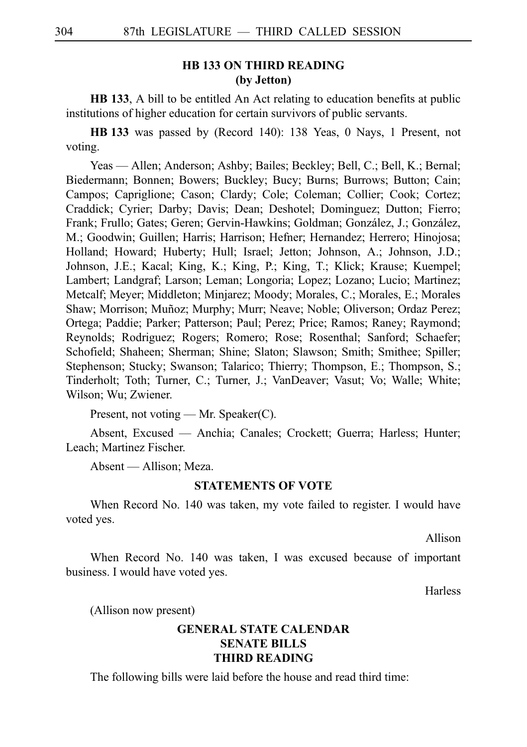#### **HB 133 ON THIRD READING (by Jetton)**

**HB 133**, A bill to be entitled An Act relating to education benefits at public institutions of higher education for certain survivors of public servants.

**HBi133** was passed by (Record 140): 138 Yeas, 0 Nays, 1 Present, not voting.

Yeas — Allen; Anderson; Ashby; Bailes; Beckley; Bell, C.; Bell, K.; Bernal; Biedermann; Bonnen; Bowers; Buckley; Bucy; Burns; Burrows; Button; Cain; Campos; Capriglione; Cason; Clardy; Cole; Coleman; Collier; Cook; Cortez; Craddick; Cyrier; Darby; Davis; Dean; Deshotel; Dominguez; Dutton; Fierro; Frank; Frullo; Gates; Geren; Gervin-Hawkins; Goldman; González, J.; González, M.; Goodwin; Guillen; Harris; Harrison; Hefner; Hernandez; Herrero; Hinojosa; Holland; Howard; Huberty; Hull; Israel; Jetton; Johnson, A.; Johnson, J.D.; Johnson, J.E.; Kacal; King, K.; King, P.; King, T.; Klick; Krause; Kuempel; Lambert; Landgraf; Larson; Leman; Longoria; Lopez; Lozano; Lucio; Martinez; Metcalf; Meyer; Middleton; Minjarez; Moody; Morales, C.; Morales, E.; Morales Shaw; Morrison; Muñoz; Murphy; Murr; Neave; Noble; Oliverson; Ordaz Perez; Ortega; Paddie; Parker; Patterson; Paul; Perez; Price; Ramos; Raney; Raymond; Reynolds; Rodriguez; Rogers; Romero; Rose; Rosenthal; Sanford; Schaefer; Schofield; Shaheen; Sherman; Shine; Slaton; Slawson; Smith; Smithee; Spiller; Stephenson; Stucky; Swanson; Talarico; Thierry; Thompson, E.; Thompson, S.; Tinderholt; Toth; Turner, C.; Turner, J.; VanDeaver; Vasut; Vo; Walle; White; Wilson; Wu; Zwiener.

Present, not voting — Mr. Speaker(C).

Absent, Excused — Anchia; Canales; Crockett; Guerra; Harless; Hunter; Leach; Martinez Fischer.

Absent — Allison; Meza.

#### **STATEMENTS OF VOTE**

When Record No. 140 was taken, my vote failed to register. I would have voted yes.

Allison

When Record No. 140 was taken, I was excused because of important business. I would have voted yes.

**Harless** 

(Allison now present)

#### **GENERAL STATE CALENDAR SENATE BILLS THIRD READING**

The following bills were laid before the house and read third time: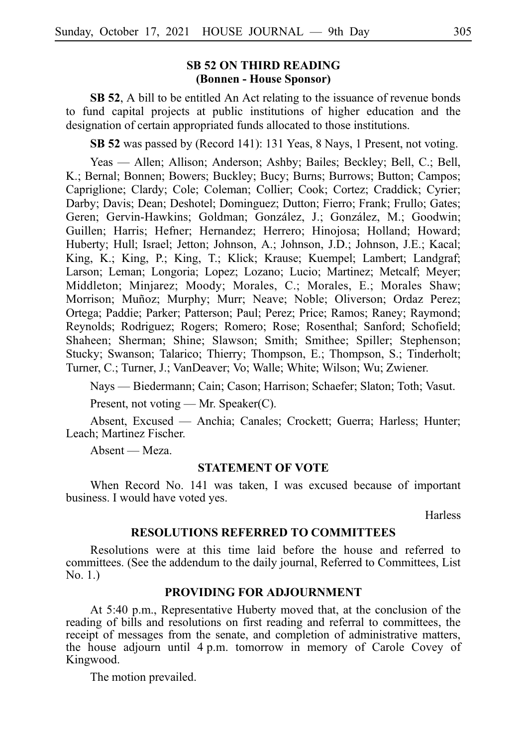#### **SB 52 ON THIRD READING (Bonnen - House Sponsor)**

**SB 52**, A bill to be entitled An Act relating to the issuance of revenue bonds to fund capital projects at public institutions of higher education and the designation of certain appropriated funds allocated to those institutions.

SB 52 was passed by (Record 141): 131 Yeas, 8 Nays, 1 Present, not voting.

Yeas — Allen; Allison; Anderson; Ashby; Bailes; Beckley; Bell, C.; Bell, K.; Bernal; Bonnen; Bowers; Buckley; Bucy; Burns; Burrows; Button; Campos; Capriglione; Clardy; Cole; Coleman; Collier; Cook; Cortez; Craddick; Cyrier; Darby; Davis; Dean; Deshotel; Dominguez; Dutton; Fierro; Frank; Frullo; Gates; Geren; Gervin-Hawkins; Goldman; González, J.; González, M.; Goodwin; Guillen; Harris; Hefner; Hernandez; Herrero; Hinojosa; Holland; Howard; Huberty; Hull; Israel; Jetton; Johnson, A.; Johnson, J.D.; Johnson, J.E.; Kacal; King, K.; King, P.; King, T.; Klick; Krause; Kuempel; Lambert; Landgraf; Larson; Leman; Longoria; Lopez; Lozano; Lucio; Martinez; Metcalf; Meyer; Middleton; Minjarez; Moody; Morales, C.; Morales, E.; Morales Shaw; Morrison; Muñoz; Murphy; Murr; Neave; Noble; Oliverson; Ordaz Perez; Ortega; Paddie; Parker; Patterson; Paul; Perez; Price; Ramos; Raney; Raymond; Reynolds; Rodriguez; Rogers; Romero; Rose; Rosenthal; Sanford; Schofield; Shaheen; Sherman; Shine; Slawson; Smith; Smithee; Spiller; Stephenson; Stucky; Swanson; Talarico; Thierry; Thompson, E.; Thompson, S.; Tinderholt; Turner, C.; Turner, J.; VanDeaver; Vo; Walle; White; Wilson; Wu; Zwiener.

Nays — Biedermann; Cain; Cason; Harrison; Schaefer; Slaton; Toth; Vasut.

Present, not voting — Mr. Speaker(C).

Absent, Excused — Anchia; Canales; Crockett; Guerra; Harless; Hunter; Leach; Martinez Fischer.

Absent — Meza.

#### **STATEMENT OF VOTE**

When Record No. 141 was taken, I was excused because of important business. I would have voted yes.

Harless

#### **RESOLUTIONS REFERRED TO COMMITTEES**

Resolutions were at this time laid before the house and referred to committees. (See the addendum to the daily journal, Referred to Committees, List No. 1.)

#### **PROVIDING FOR ADJOURNMENT**

At 5:40 p.m., Representative Huberty moved that, at the conclusion of the reading of bills and resolutions on first reading and referral to committees, the receipt of messages from the senate, and completion of administrative matters, the house adjourn until 4 p.m. tomorrow in memory of Carole Covey of Kingwood.

The motion prevailed.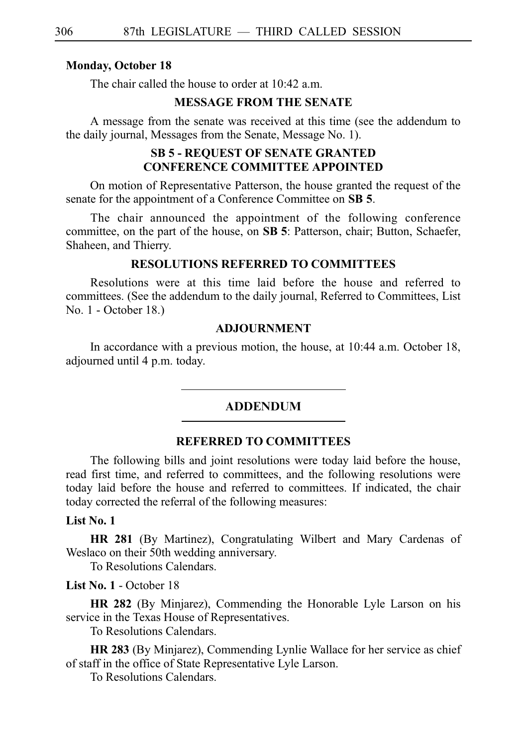#### **Monday, October 18**

The chair called the house to order at 10:42 a.m.

#### **MESSAGE FROM THE SENATE**

A message from the senate was received at this time (see the addendum to the daily journal, Messages from the Senate, Message No. 1).

#### **SB 5 - REQUEST OF SENATE GRANTED CONFERENCE COMMITTEE APPOINTED**

On motion of Representative Patterson, the house granted the request of the senate for the appointment of a Conference Committee on **SB 5**.

The chair announced the appointment of the following conference committee, on the part of the house, on SB 5: Patterson, chair; Button, Schaefer, Shaheen, and Thierry.

#### **RESOLUTIONS REFERRED TO COMMITTEES**

Resolutions were at this time laid before the house and referred to committees. (See the addendum to the daily journal, Referred to Committees, List No. 1 - October 18.)

#### **ADJOURNMENT**

In accordance with a previous motion, the house, at  $10:44$  a.m. October 18, adjourned until 4 p.m. today.

#### ADDENDUM

#### **REFERRED TO COMMITTEES**

The following bills and joint resolutions were today laid before the house, read first time, and referred to committees, and the following resolutions were today laid before the house and referred to committees. If indicated, the chair today corrected the referral of the following measures:

#### **List No. 1**

**HR 281** (By Martinez), Congratulating Wilbert and Mary Cardenas of Weslaco on their 50th wedding anniversary.

To Resolutions Calendars.

#### **List No. 1** - October 18

**HR 282** (By Minjarez), Commending the Honorable Lyle Larson on his service in the Texas House of Representatives.

To Resolutions Calendars.

**HR 283** (By Minjarez), Commending Lynlie Wallace for her service as chief of staff in the office of State Representative Lyle Larson.

To Resolutions Calendars.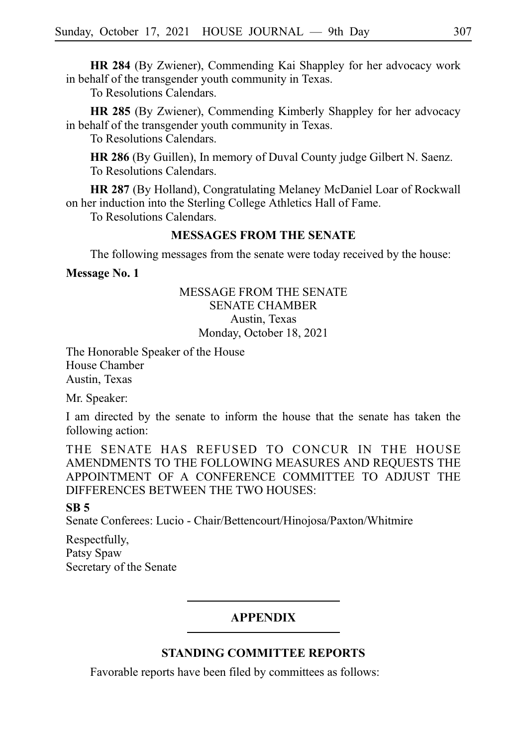**HR 284** (By Zwiener), Commending Kai Shappley for her advocacy work in behalf of the transgender youth community in Texas.

To Resolutions Calendars.

**HR 285** (By Zwiener), Commending Kimberly Shappley for her advocacy in behalf of the transgender youth community in Texas.

To Resolutions Calendars.

**HR 286** (By Guillen), In memory of Duval County judge Gilbert N. Saenz. To Resolutions Calendars.

**HR 287** (By Holland), Congratulating Melaney McDaniel Loar of Rockwall on her induction into the Sterling College Athletics Hall of Fame.

To Resolutions Calendars.

### **MESSAGES FROM THE SENATE**

The following messages from the senate were today received by the house:

**Message No. 1**

#### MESSAGE FROM THE SENATE SENATE CHAMBER Austin, Texas Monday, October 18, 2021

The Honorable Speaker of the House House Chamber Austin, Texas

Mr. Speaker:

I am directed by the senate to inform the house that the senate has taken the following action:

THE SENATE HAS REFUSED TO CONCUR IN THE HOUSE AMENDMENTS TO THE FOLLOWING MEASURES AND REQUESTS THE APPOINTMENT OF A CONFERENCE COMMITTEE TO ADJUST THE DIFFERENCES BETWEEN THE TWO HOUSES:

#### **SB 5**

Senate Conferees: Lucio - Chair/Bettencourt/Hinojosa/Paxton/Whitmire

Respectfully, Patsy Spaw Secretary of the Senate

#### **APPENDIX**

# **STANDING COMMITTEE REPORTS**

Favorable reports have been filed by committees as follows: